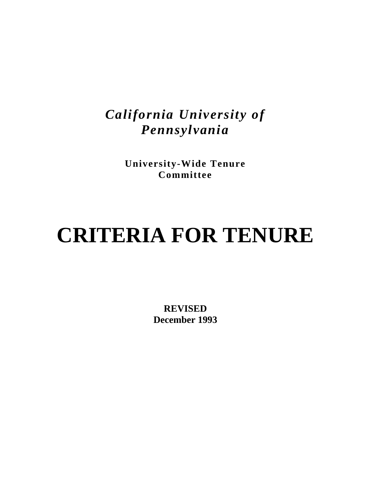## *California University of Pennsylvania*

**University-Wide Tenure Committee**

# **CRITERIA FOR TENURE**

**REVISED December 1993**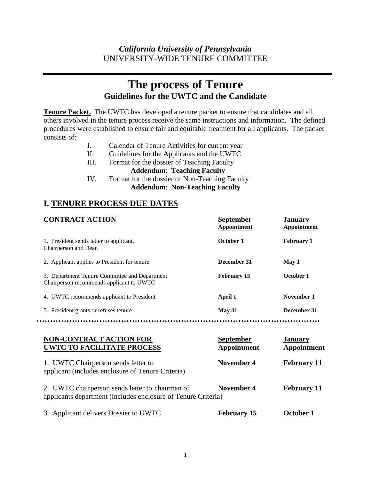## **The process of Tenure Guidelines for the UWTC and the Candidate**

**Tenure Packet.** The UWTC has developed a tenure packet to ensure that candidates and all others involved in the tenure process receive the same instructions and information. The defined procedures were established to ensure fair and equitable treatment for all applicants. The packet consists of:

- I. Calendar of Tenure Activities for current year
- II. Guidelines for the Applicants and the UWTC
- III. Format for the dossier of Teaching Faculty

#### **Addendum**: **Teaching Faculty**

IV. Format for the dossier of Non-Teaching Faculty  **Addendum**: **Non-Teaching Faculty**

## **I. TENURE PROCESS DUE DATES**

| <b>CONTRACT ACTION</b>                                                                    | <b>September</b><br>Appointment | <b>January</b><br>Appointment |
|-------------------------------------------------------------------------------------------|---------------------------------|-------------------------------|
| 1. President sends letter to applicant,<br>Chairperson and Dean                           | October 1                       | <b>February 1</b>             |
| 2. Applicant applies to President for tenure                                              | December 31                     | May 1                         |
| 3. Department Tenure Committee and Department<br>Chairperson recommends applicant to UWTC | <b>February 15</b>              | October 1                     |
| 4. UWTC recommends applicant to President                                                 | April 1                         | November 1                    |
| 5. President grants or refuses tenure                                                     | <b>May 31</b>                   | December 31                   |

| <b>NON-CONTRACT ACTION FOR</b><br><b>UWTC TO FACILITATE PROCESS</b>                                              | <b>September</b><br>Appointment | <b>January</b><br>Appointment |
|------------------------------------------------------------------------------------------------------------------|---------------------------------|-------------------------------|
| 1. UWTC Chairperson sends letter to<br>applicant (includes enclosure of Tenure Criteria)                         | November 4                      | <b>February 11</b>            |
| 2. UWTC chairperson sends letter to chairman of<br>applicants department (includes enclosure of Tenure Criteria) | November 4                      | <b>February 11</b>            |
| 3. Applicant delivers Dossier to UWTC                                                                            | <b>February 15</b>              | October 1                     |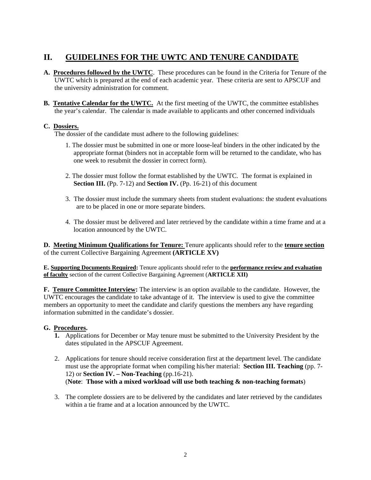## **II. GUIDELINES FOR THE UWTC AND TENURE CANDIDATE**

- **A. Procedures followed by the UWTC**. These procedures can be found in the Criteria for Tenure of the UWTC which is prepared at the end of each academic year. These criteria are sent to APSCUF and the university administration for comment.
- **B. Tentative Calendar for the UWTC.** At the first meeting of the UWTC, the committee establishes the year's calendar. The calendar is made available to applicants and other concerned individuals

#### **C. Dossiers.**

The dossier of the candidate must adhere to the following guidelines:

- 1. The dossier must be submitted in one or more loose-leaf binders in the other indicated by the appropriate format (binders not in acceptable form will be returned to the candidate, who has one week to resubmit the dossier in correct form).
- 2. The dossier must follow the format established by the UWTC. The format is explained in **Section III.** (Pp. 7-12) and **Section IV.** (Pp. 16-21) of this document
- 3. The dossier must include the summary sheets from student evaluations: the student evaluations are to be placed in one or more separate binders.
- 4. The dossier must be delivered and later retrieved by the candidate within a time frame and at a location announced by the UWTC.

**D. Meeting Minimum Qualifications for Tenure:** Tenure applicants should refer to the **tenure section** of the current Collective Bargaining Agreement **(ARTICLE XV)** 

**E. Supporting Documents Required:** Tenure applicants should refer to the **performance review and evaluation of faculty** section of the current Collective Bargaining Agreement (**ARTICLE XII)**

**F. Tenure Committee Interview:** The interview is an option available to the candidate. However, the UWTC encourages the candidate to take advantage of it. The interview is used to give the committee members an opportunity to meet the candidate and clarify questions the members any have regarding information submitted in the candidate's dossier.

#### **G. Procedures.**

- **1.** Applications for December or May tenure must be submitted to the University President by the dates stipulated in the APSCUF Agreement.
- 2. Applications for tenure should receive consideration first at the department level. The candidate must use the appropriate format when compiling his/her material: **Section III. Teaching** (pp. 7- 12) or **Section IV. – Non-Teaching** (pp.16-21). (**Note**: **Those with a mixed workload will use both teaching & non-teaching formats**)
- 3. The complete dossiers are to be delivered by the candidates and later retrieved by the candidates within a tie frame and at a location announced by the UWTC.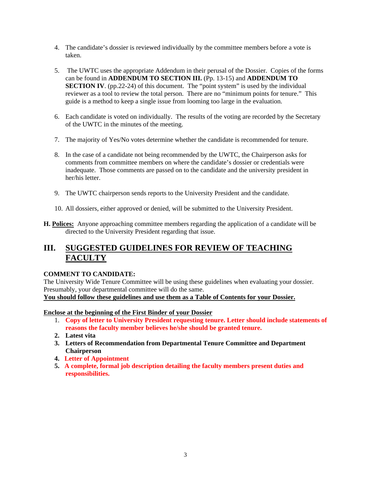- 4. The candidate's dossier is reviewed individually by the committee members before a vote is taken.
- 5. The UWTC uses the appropriate Addendum in their perusal of the Dossier. Copies of the forms can be found in **ADDENDUM TO SECTION III.** (Pp. 13-15) and **ADDENDUM TO SECTION IV.** (pp.22-24) of this document. The "point system" is used by the individual reviewer as a tool to review the total person. There are no "minimum points for tenure." This guide is a method to keep a single issue from looming too large in the evaluation.
- 6. Each candidate is voted on individually. The results of the voting are recorded by the Secretary of the UWTC in the minutes of the meeting.
- 7. The majority of Yes/No votes determine whether the candidate is recommended for tenure.
- 8. In the case of a candidate not being recommended by the UWTC, the Chairperson asks for comments from committee members on where the candidate's dossier or credentials were inadequate. Those comments are passed on to the candidate and the university president in her/his letter.
- 9. The UWTC chairperson sends reports to the University President and the candidate.
- 10. All dossiers, either approved or denied, will be submitted to the University President.
- **H. Polices:** Anyone approaching committee members regarding the application of a candidate will be directed to the University President regarding that issue.

## **III. SUGGESTED GUIDELINES FOR REVIEW OF TEACHING FACULTY**

#### **COMMENT TO CANDIDATE:**

The University Wide Tenure Committee will be using these guidelines when evaluating your dossier. Presumably, your departmental committee will do the same. **You should follow these guidelines and use them as a Table of Contents for your Dossier.**

**Enclose at the beginning of the First Binder of your Dossier**

- 1. **Copy of letter to University President requesting tenure. Letter should include statements of reasons the faculty member believes he/she should be granted tenure.**
- **2. Latest vita**
- **3. Letters of Recommendation from Departmental Tenure Committee and Department Chairperson**
- **4. Letter of Appointment**
- **5. A complete, formal job description detailing the faculty members present duties and responsibilities.**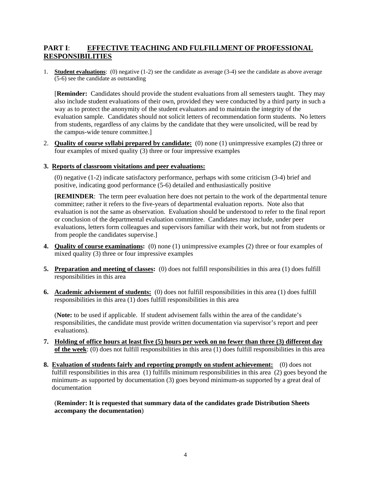#### **PART I**: **EFFECTIVE TEACHING AND FULFILLMENT OF PROFESSIONAL RESPONSIBILITIES**

1. **Student evaluations**: (0) negative (1-2) see the candidate as average (3-4) see the candidate as above average (5-6) see the candidate as outstanding

[**Reminder:** Candidates should provide the student evaluations from all semesters taught. They may also include student evaluations of their own, provided they were conducted by a third party in such a way as to protect the anonymity of the student evaluators and to maintain the integrity of the evaluation sample. Candidates should not solicit letters of recommendation form students. No letters from students, regardless of any claims by the candidate that they were unsolicited, will be read by the campus-wide tenure committee.]

2. **Quality of course syllabi prepared by candidate:** (0) none (1) unimpressive examples (2) three or four examples of mixed quality (3) three or four impressive examples

#### **3. Reports of classroom visitations and peer evaluations:**

(0) negative (1-2) indicate satisfactory performance, perhaps with some criticism (3-4) brief and positive, indicating good performance (5-6) detailed and enthusiastically positive

**[REMINDER**: The term peer evaluation here does not pertain to the work of the departmental tenure committee; rather it refers to the five-years of departmental evaluation reports. Note also that evaluation is not the same as observation. Evaluation should be understood to refer to the final report or conclusion of the departmental evaluation committee. Candidates may include, under peer evaluations, letters form colleagues and supervisors familiar with their work, but not from students or from people the candidates supervise.]

- **4. Quality of course examinations:** (0) none (1) unimpressive examples (2) three or four examples of mixed quality (3) three or four impressive examples
- **5. Preparation and meeting of classes:** (0) does not fulfill responsibilities in this area (1) does fulfill responsibilities in this area
- **6. Academic advisement of students:** (0) does not fulfill responsibilities in this area (1) does fulfill responsibilities in this area (1) does fulfill responsibilities in this area

(**Note:** to be used if applicable. If student advisement falls within the area of the candidate's responsibilities, the candidate must provide written documentation via supervisor's report and peer evaluations).

- **7. Holding of office hours at least five (5) hours per week on no fewer than three (3) different day of the week**: (0) does not fulfill responsibilities in this area (1) does fulfill responsibilities in this area
- **8. Evaluation of students fairly and reporting promptly on student achievement:** (0) does not fulfill responsibilities in this area (1) fulfills minimum responsibilities in this area (2) goes beyond the minimum- as supported by documentation (3) goes beyond minimum-as supported by a great deal of documentation

(**Reminder: It is requested that summary data of the candidates grade Distribution Sheets accompany the documentation**)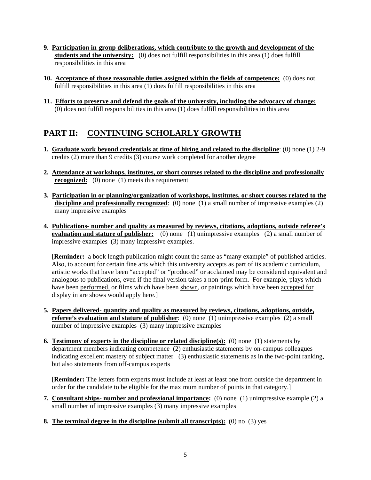- **9. Participation in-group deliberations, which contribute to the growth and development of the**  students and the university: (0) does not fulfill responsibilities in this area (1) does fulfill responsibilities in this area
- **10. Acceptance of those reasonable duties assigned within the fields of competence:** (0) does not fulfill responsibilities in this area (1) does fulfill responsibilities in this area
- **11. Efforts to preserve and defend the goals of the university, including the advocacy of change:** (0) does not fulfill responsibilities in this area (1) does fulfill responsibilities in this area

## **PART II: CONTINUING SCHOLARLY GROWTH**

- **1. Graduate work beyond credentials at time of hiring and related to the discipline**: (0) none (1) 2-9 credits (2) more than 9 credits (3) course work completed for another degree
- **2. Attendance at workshops, institutes, or short courses related to the discipline and professionally recognized:** (0) none (1) meets this requirement
- **3. Participation in or planning/organization of workshops, institutes, or short courses related to the**  discipline and professionally recognized: (0) none (1) a small number of impressive examples (2) many impressive examples
- **4. Publications- number and quality as measured by reviews, citations, adoptions, outside referee's evaluation and stature of publisher:** (0) none (1) unimpressive examples (2) a small number of impressive examples (3) many impressive examples.

[**Reminder:** a book length publication might count the same as "many example" of published articles. Also, to account for certain fine arts which this university accepts as part of its academic curriculum, artistic works that have been "accepted" or "produced" or acclaimed may be considered equivalent and analogous to publications, even if the final version takes a non-print form. For example, plays which have been performed, or films which have been shown, or paintings which have been accepted for display in are shows would apply here.]

- **5. Papers delivered- quantity and quality as measured by reviews, citations, adoptions, outside, referee's evaluation and stature of publisher**: (0) none (1) unimpressive examples (2) a small number of impressive examples (3) many impressive examples
- **6. Testimony of experts in the discipline or related discipline(s):** (0) none (1) statements by department members indicating competence (2) enthusiastic statements by on-campus colleagues indicating excellent mastery of subject matter (3) enthusiastic statements as in the two-point ranking, but also statements from off-campus experts

[**Reminder:** The letters form experts must include at least at least one from outside the department in order for the candidate to be eligible for the maximum number of points in that category.]

- **7. Consultant ships- number and professional importance:** (0) none (1) unimpressive example (2) a small number of impressive examples (3) many impressive examples
- **8. The terminal degree in the discipline (submit all transcripts):** (0) no (3) yes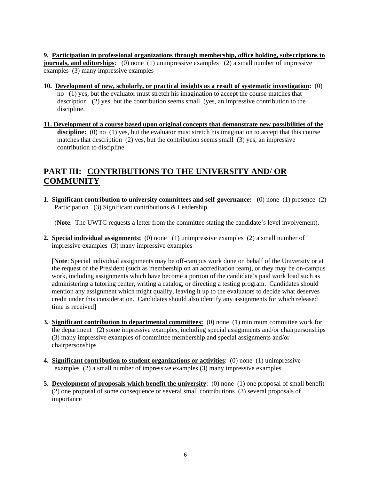**9. Participation in professional organizations through membership, office holding, subscriptions to journals, and editorships**: (0) none (1) unimpressive examples (2) a small number of impressive examples (3) many impressive examples

- **10. Development of new, scholarly, or practical insights as a result of systematic investigation:** (0) no (1) yes, but the evaluator must stretch his imagination to accept the course matches that description (2) yes, but the contribution seems small (yes, an impressive contribution to the discipline.
- **11. Development of a course based upon original concepts that demonstrate new possibilities of the**  discipline: (0) no (1) yes, but the evaluator must stretch his imagination to accept that this course matches that description (2) yes, but the contribution seems small (3) yes, an impressive contribution to discipline

## **PART III: CONTRIBUTIONS TO THE UNIVERSITY AND/ OR COMMUNITY**

**1. Significant contribution to university committees and self-governance:** (0) none (1) presence (2) Participation (3) Significant contributions & Leadership.

(**Note**: The UWTC requests a letter from the committee stating the candidate's level involvement).

**2. Special individual assignments:** (0) none (1) unimpressive examples (2) a small number of impressive examples (3) many impressive examples

[**Note**: Special individual assignments may be off-campus work done on behalf of the University or at the request of the President (such as membership on an accreditation team), or they may be on-campus work, including assignments which have become a portion of the candidate's paid work load such as administering a tutoring center, writing a catalog, or directing a testing program. Candidates should mention any assignment which might qualify, leaving it up to the evaluators to decide what deserves credit under this consideration. Candidates should also identify any assignments for which released time is received]

- **3. Significant contribution to departmental committees:** (0) none (1) minimum committee work for the department (2) some impressive examples, including special assignments and/or chairpersonships (3) many impressive examples of committee membership and special assignments and/or chairpersonships
- **4. Significant contribution to student organizations or activities**: (0) none (1) unimpressive examples (2) a small number of impressive examples (3) many impressive examples
- **5. Development of proposals which benefit the university**: (0) none (1) one proposal of small benefit (2) one proposal of some consequence or several small contributions (3) several proposals of importance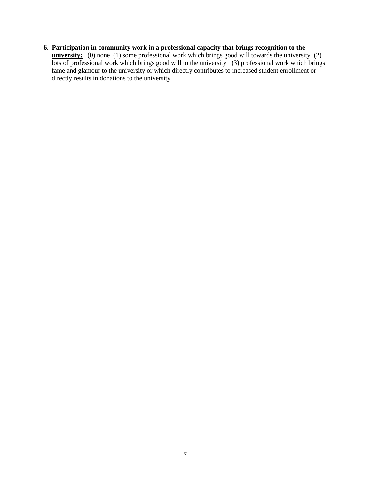#### **6. Participation in community work in a professional capacity that brings recognition to the**

**university:** (0) none (1) some professional work which brings good will towards the university (2) lots of professional work which brings good will to the university (3) professional work which brings fame and glamour to the university or which directly contributes to increased student enrollment or directly results in donations to the university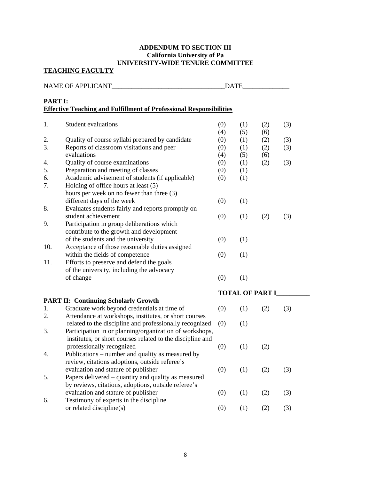#### **ADDENDUM TO SECTION III California University of Pa UNIVERSITY-WIDE TENURE COMMITTEE**

**TEACHING FACULTY**

|                | NAME OF APPLICANT                                                          | <b>DATE</b>            |            |            |     |
|----------------|----------------------------------------------------------------------------|------------------------|------------|------------|-----|
| <b>PART I:</b> | <b>Effective Teaching and Fulfillment of Professional Responsibilities</b> |                        |            |            |     |
| 1.             | <b>Student evaluations</b>                                                 | (0)<br>(4)             | (1)<br>(5) | (2)<br>(6) | (3) |
| 2.             | Quality of course syllabi prepared by candidate                            | (0)                    | (1)        | (2)        | (3) |
| 3.             | Reports of classroom visitations and peer                                  | (0)                    | (1)        | (2)        | (3) |
|                | evaluations                                                                | (4)                    | (5)        | (6)        |     |
| 4.             | Quality of course examinations                                             | (0)                    | (1)        | (2)        | (3) |
| 5.             | Preparation and meeting of classes                                         | (0)                    | (1)        |            |     |
| 6.             | Academic advisement of students (if applicable)                            | (0)                    | (1)        |            |     |
| 7.             | Holding of office hours at least (5)                                       |                        |            |            |     |
|                | hours per week on no fewer than three (3)                                  |                        |            |            |     |
|                | different days of the week                                                 | (0)                    | (1)        |            |     |
| 8.             | Evaluates students fairly and reports promptly on                          |                        |            |            |     |
|                | student achievement                                                        | (0)                    | (1)        | (2)        | (3) |
| 9.             | Participation in group deliberations which                                 |                        |            |            |     |
|                | contribute to the growth and development                                   |                        |            |            |     |
|                | of the students and the university                                         | (0)                    | (1)        |            |     |
| 10.            | Acceptance of those reasonable duties assigned                             |                        |            |            |     |
|                | within the fields of competence                                            | (0)                    | (1)        |            |     |
| 11.            | Efforts to preserve and defend the goals                                   |                        |            |            |     |
|                | of the university, including the advocacy                                  |                        |            |            |     |
|                | of change                                                                  | (0)                    | (1)        |            |     |
|                |                                                                            | <b>TOTAL OF PART I</b> |            |            |     |
|                | <b>PART II: Continuing Scholarly Growth</b>                                |                        |            |            |     |
| 1.             | Graduate work beyond credentials at time of                                | (0)                    | (1)        | (2)        | (3) |
| 2.             | Attendance at workshops, institutes, or short courses                      |                        |            |            |     |
|                | related to the discipline and professionally recognized                    | (0)                    | (1)        |            |     |
| 3.             | Participation in or planning/organization of workshops,                    |                        |            |            |     |
|                | institutes, or short courses related to the discipline and                 |                        |            |            |     |
|                | professionally recognized                                                  | (0)                    | (1)        | (2)        |     |
| 4.             | Publications – number and quality as measured by                           |                        |            |            |     |
|                | review, citations adoptions, outside referee's                             |                        |            |            |     |
|                | evaluation and stature of publisher                                        | (0)                    | (1)        | (2)        | (3) |
| 5.             | Papers delivered – quantity and quality as measured                        |                        |            |            |     |
|                | by reviews, citations, adoptions, outside referee's                        |                        |            |            |     |
|                | evaluation and stature of publisher                                        | (0)                    | (1)        | (2)        | (3) |
| 6.             | Testimony of experts in the discipline                                     |                        |            |            |     |
|                | or related discipline(s)                                                   | (0)                    | (1)        | (2)        | (3) |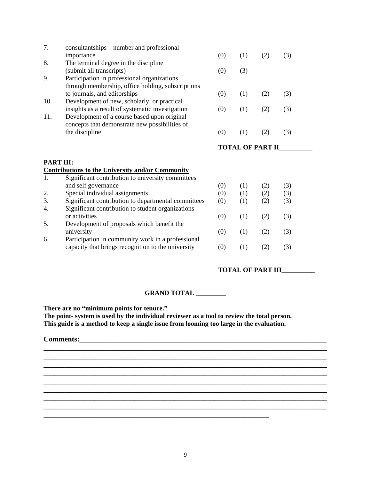| 7.               | consultantships – number and professional                                                                                                                                           |                         |            |            |            |  |
|------------------|-------------------------------------------------------------------------------------------------------------------------------------------------------------------------------------|-------------------------|------------|------------|------------|--|
|                  | importance                                                                                                                                                                          | (0)                     | (1)        | (2)        | (3)        |  |
| 8.               | The terminal degree in the discipline                                                                                                                                               |                         |            |            |            |  |
|                  | (submit all transcripts)                                                                                                                                                            | (0)                     | (3)        |            |            |  |
| 9.               | Participation in professional organizations                                                                                                                                         |                         |            |            |            |  |
|                  | through membership, office holding, subscriptions                                                                                                                                   |                         |            |            |            |  |
|                  | to journals, and editorships                                                                                                                                                        | (0)                     | (1)        | (2)        | (3)        |  |
| 10.              | Development of new, scholarly, or practical                                                                                                                                         |                         |            |            |            |  |
|                  | insights as a result of systematic investigation                                                                                                                                    | (0)                     | (1)        | (2)        | (3)        |  |
| 11.              | Development of a course based upon original                                                                                                                                         |                         |            |            |            |  |
|                  | concepts that demonstrate new possibilities of                                                                                                                                      |                         |            |            |            |  |
|                  | the discipline                                                                                                                                                                      | (0)                     | (1)        | (2)        | (3)        |  |
|                  |                                                                                                                                                                                     |                         |            |            |            |  |
|                  |                                                                                                                                                                                     | <b>TOTAL OF PART II</b> |            |            |            |  |
|                  |                                                                                                                                                                                     |                         |            |            |            |  |
| <b>PART III:</b> |                                                                                                                                                                                     |                         |            |            |            |  |
|                  | <b>Contributions to the University and/or Community</b>                                                                                                                             |                         |            |            |            |  |
| 1.               | Significant contribution to university committees                                                                                                                                   |                         |            |            |            |  |
|                  | and self governance                                                                                                                                                                 | (0)                     | (1)        | (2)        | (3)        |  |
| 2.               | Special individual assignments                                                                                                                                                      | (0)                     | (1)        | (2)        | (3)        |  |
| 3.               | Significant contribution to departmental committees                                                                                                                                 | (0)                     | (1)        | (2)        | (3)        |  |
|                  |                                                                                                                                                                                     |                         |            |            |            |  |
|                  |                                                                                                                                                                                     |                         |            |            |            |  |
|                  |                                                                                                                                                                                     |                         |            |            |            |  |
|                  |                                                                                                                                                                                     |                         |            |            |            |  |
|                  |                                                                                                                                                                                     |                         |            |            |            |  |
|                  |                                                                                                                                                                                     |                         |            |            |            |  |
|                  | capacity that brings recognition to the university                                                                                                                                  | (0)                     | (1)        | (2)        | (3)        |  |
| 4.<br>5.<br>6.   | Significant contribution to student organizations<br>or activities<br>Development of proposals which benefit the<br>university<br>Participation in community work in a professional | (0)<br>(0)              | (1)<br>(1) | (2)<br>(2) | (3)<br>(3) |  |

#### **TOTAL OF PART III\_\_\_\_\_\_\_\_\_\_**

#### **GRAND TOTAL \_\_\_\_\_\_\_\_\_**

**There are no "minimum points for tenure."** 

**The point- system is used by the individual reviewer as a tool to review the total person. This guide is a method to keep a single issue from looming too large in the evaluation.** 

**\_\_\_\_\_\_\_\_\_\_\_\_\_\_\_\_\_\_\_\_\_\_\_\_\_\_\_\_\_\_\_\_\_\_\_\_\_\_\_\_\_\_\_\_\_\_\_\_\_\_\_\_\_\_\_\_\_\_\_\_\_\_** 

#### **Comments:\_\_\_\_\_\_\_\_\_\_\_\_\_\_\_\_\_\_\_\_\_\_\_\_\_\_\_\_\_\_\_\_\_\_\_\_\_\_\_\_\_\_\_\_\_\_\_\_\_\_\_\_\_\_\_\_\_\_\_\_\_\_\_\_\_\_\_\_**

**\_\_\_\_\_\_\_\_\_\_\_\_\_\_\_\_\_\_\_\_\_\_\_\_\_\_\_\_\_\_\_\_\_\_\_\_\_\_\_\_\_\_\_\_\_\_\_\_\_\_\_\_\_\_\_\_\_\_\_\_\_\_\_\_\_\_\_\_\_\_\_\_\_\_\_\_\_\_**

**\_\_\_\_\_\_\_\_\_\_\_\_\_\_\_\_\_\_\_\_\_\_\_\_\_\_\_\_\_\_\_\_\_\_\_\_\_\_\_\_\_\_\_\_\_\_\_\_\_\_\_\_\_\_\_\_\_\_\_\_\_\_\_\_\_\_\_\_\_\_\_\_\_\_\_\_\_\_**

**\_\_\_\_\_\_\_\_\_\_\_\_\_\_\_\_\_\_\_\_\_\_\_\_\_\_\_\_\_\_\_\_\_\_\_\_\_\_\_\_\_\_\_\_\_\_\_\_\_\_\_\_\_\_\_\_\_\_\_\_\_\_\_\_\_\_\_\_\_\_\_\_\_\_\_\_\_\_ \_\_\_\_\_\_\_\_\_\_\_\_\_\_\_\_\_\_\_\_\_\_\_\_\_\_\_\_\_\_\_\_\_\_\_\_\_\_\_\_\_\_\_\_\_\_\_\_\_\_\_\_\_\_\_\_\_\_\_\_\_\_\_\_\_\_\_\_\_\_\_\_\_\_\_\_\_\_ \_\_\_\_\_\_\_\_\_\_\_\_\_\_\_\_\_\_\_\_\_\_\_\_\_\_\_\_\_\_\_\_\_\_\_\_\_\_\_\_\_\_\_\_\_\_\_\_\_\_\_\_\_\_\_\_\_\_\_\_\_\_\_\_\_\_\_\_\_\_\_\_\_\_\_\_\_\_**

**\_\_\_\_\_\_\_\_\_\_\_\_\_\_\_\_\_\_\_\_\_\_\_\_\_\_\_\_\_\_\_\_\_\_\_\_\_\_\_\_\_\_\_\_\_\_\_\_\_\_\_\_\_\_\_\_\_\_\_\_\_\_\_\_\_\_\_\_\_\_\_\_\_\_\_\_\_\_ \_\_\_\_\_\_\_\_\_\_\_\_\_\_\_\_\_\_\_\_\_\_\_\_\_\_\_\_\_\_\_\_\_\_\_\_\_\_\_\_\_\_\_\_\_\_\_\_\_\_\_\_\_\_\_\_\_\_\_\_\_\_\_\_\_\_\_\_\_\_\_\_\_\_\_\_\_\_**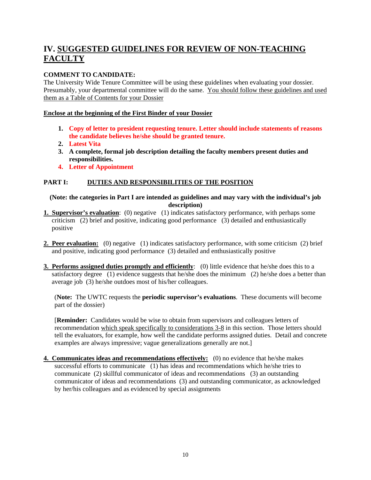## **IV. SUGGESTED GUIDELINES FOR REVIEW OF NON-TEACHING FACULTY**

#### **COMMENT TO CANDIDATE:**

The University Wide Tenure Committee will be using these guidelines when evaluating your dossier. Presumably, your departmental committee will do the same. You should follow these guidelines and used them as a Table of Contents for your Dossier

#### **Enclose at the beginning of the First Binder of your Dossier**

- **1. Copy of letter to president requesting tenure. Letter should include statements of reasons the candidate believes he/she should be granted tenure.**
- **2. Latest Vita**
- **3. A complete, formal job description detailing the faculty members present duties and responsibilities.**
- **4. Letter of Appointment**

#### **PART I: DUTIES AND RESPONSIBILITIES OF THE POSITION**

**(Note: the categories in Part I are intended as guidelines and may vary with the individual's job description)** 

- **1. Supervisor's evaluation**: (0) negative (1) indicates satisfactory performance, with perhaps some criticism (2) brief and positive, indicating good performance (3) detailed and enthusiastically positive
- **2. Peer evaluation:** (0) negative (1) indicates satisfactory performance, with some criticism (2) brief and positive, indicating good performance (3) detailed and enthusiastically positive
- **3. Performs assigned duties promptly and efficiently**: (0) little evidence that he/she does this to a satisfactory degree (1) evidence suggests that he/she does the minimum (2) he/she does a better than average job (3) he/she outdoes most of his/her colleagues.

(**Note:** The UWTC requests the **periodic supervisor's evaluations**. These documents will become part of the dossier)

[**Reminder:** Candidates would be wise to obtain from supervisors and colleagues letters of recommendation which speak specifically to considerations 3-8 in this section. Those letters should tell the evaluators, for example, how well the candidate performs assigned duties. Detail and concrete examples are always impressive; vague generalizations generally are not.]

**4. Communicates ideas and recommendations effectively:** (0) no evidence that he/she makes successful efforts to communicate (1) has ideas and recommendations which he/she tries to communicate (2) skillful communicator of ideas and recommendations (3) an outstanding communicator of ideas and recommendations (3) and outstanding communicator, as acknowledged by her/his colleagues and as evidenced by special assignments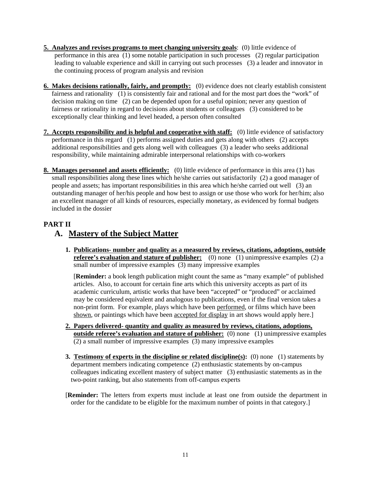- **5. Analyzes and revises programs to meet changing university goals**: (0) little evidence of performance in this area (1) some notable participation in such processes (2) regular participation leading to valuable experience and skill in carrying out such processes (3) a leader and innovator in the continuing process of program analysis and revision
- **6. Makes decisions rationally, fairly, and promptly:** (0) evidence does not clearly establish consistent fairness and rationality (1) is consistently fair and rational and for the most part does the "work" of decision making on time (2) can be depended upon for a useful opinion; never any question of fairness or rationality in regard to decisions about students or colleagues (3) considered to be exceptionally clear thinking and level headed, a person often consulted
- **7. Accepts responsibility and is helpful and cooperative with staff:** (0) little evidence of satisfactory performance in this regard (1) performs assigned duties and gets along with others (2) accepts additional responsibilities and gets along well with colleagues (3) a leader who seeks additional responsibility, while maintaining admirable interpersonal relationships with co-workers
- **8. Manages personnel and assets efficiently:** (0) little evidence of performance in this area (1) has small responsibilities along these lines which he/she carries out satisfactorily (2) a good manager of people and assets; has important responsibilities in this area which he/she carried out well (3) an outstanding manager of her/his people and how best to assign or use those who work for her/him; also an excellent manager of all kinds of resources, especially monetary, as evidenced by formal budgets included in the dossier

#### **PART II**

## **A. Mastery of the Subject Matter**

**1. Publications- number and quality as a measured by reviews, citations, adoptions, outside referee's evaluation and stature of publisher:** (0) none (1) unimpressive examples (2) a small number of impressive examples (3) many impressive examples

[**Reminder:** a book length publication might count the same as "many example" of published articles. Also, to account for certain fine arts which this university accepts as part of its academic curriculum, artistic works that have been "accepted" or "produced" or acclaimed may be considered equivalent and analogous to publications, even if the final version takes a non-print form. For example, plays which have been performed, or films which have been shown, or paintings which have been accepted for display in art shows would apply here.]

- **2. Papers delivered- quantity and quality as measured by reviews, citations, adoptions, outside referee's evaluation and stature of publisher:** (0) none (1) unimpressive examples (2) a small number of impressive examples (3) many impressive examples
- **3. Testimony of experts in the discipline or related discipline(s):** (0) none (1) statements by department members indicating competence (2) enthusiastic statements by on-campus colleagues indicating excellent mastery of subject matter (3) enthusiastic statements as in the two-point ranking, but also statements from off-campus experts
- [**Reminder:** The letters from experts must include at least one from outside the department in order for the candidate to be eligible for the maximum number of points in that category.]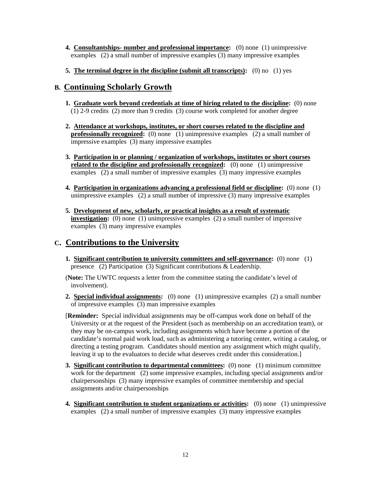- **4. Consultantships- number and professional importance:** (0) none (1) unimpressive examples (2) a small number of impressive examples (3) many impressive examples
- **5. The terminal degree in the discipline (submit all transcripts):** (0) no (1) yes

#### **B. Continuing Scholarly Growth**

- **1. Graduate work beyond credentials at time of hiring related to the discipline:** (0) none (1) 2-9 credits (2) more than 9 credits (3) course work completed for another degree
- **2. Attendance at workshops, institutes, or short courses related to the discipline and professionally recognized:** (0) none (1) unimpressive examples (2) a small number of impressive examples (3) many impressive examples
- **3. Participation in or planning / organization of workshops, institutes or short courses related to the discipline and professionally recognized:** (0) none (1) unimpressive examples (2) a small number of impressive examples (3) many impressive examples
- **4. Participation in organizations advancing a professional field or discipline:** (0) none (1) unimpressive examples (2) a small number of impressive (3) many impressive examples
- **5. Development of new, scholarly, or practical insights as a result of systematic investigation:** (0) none (1) unimpressive examples (2) a small number of impressive examples (3) many impressive examples

## **C. Contributions to the University**

**1. Significant contribution to university committees and self-governance:** (0) none (1) presence (2) Participation (3) Significant contributions & Leadership.

(**Note:** The UWTC requests a letter from the committee stating the candidate's level of involvement).

**2. Special individual assignments:** (0) none (1) unimpressive examples (2) a small number of impressive examples (3) man impressive examples

[**Reminder:** Special individual assignments may be off-campus work done on behalf of the University or at the request of the President (such as membership on an accreditation team), or they may be on-campus work, including assignments which have become a portion of the candidate's normal paid work load, such as administering a tutoring center, writing a catalog, or directing a testing program. Candidates should mention any assignment which might qualify, leaving it up to the evaluators to decide what deserves credit under this consideration.]

- **3. Significant contribution to departmental committees:** (0) none (1) minimum committee work for the department (2) some impressive examples, including special assignments and/or chairpersonships (3) many impressive examples of committee membership and special assignments and/or chairpersonships
- **4. Significant contribution to student organizations or activities:** (0) none (1) unimpressive examples (2) a small number of impressive examples (3) many impressive examples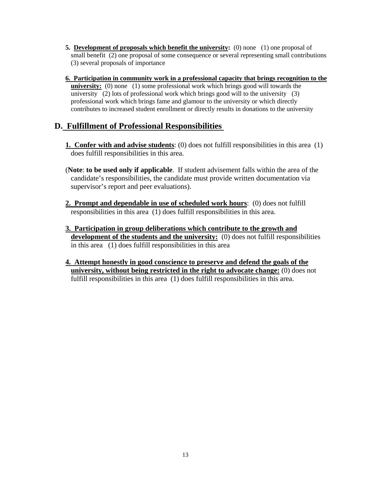- **5. Development of proposals which benefit the university:** (0) none (1) one proposal of small benefit (2) one proposal of some consequence or several representing small contributions (3) several proposals of importance
- **6. Participation in community work in a professional capacity that brings recognition to the university:** (0) none (1) some professional work which brings good will towards the university (2) lots of professional work which brings good will to the university (3) professional work which brings fame and glamour to the university or which directly contributes to increased student enrollment or directly results in donations to the university

## **D. Fulfillment of Professional Responsibilities**

- **1. Confer with and advise students**: (0) does not fulfill responsibilities in this area (1) does fulfill responsibilities in this area.
- (**Note**: **to be used only if applicable**. If student advisement falls within the area of the candidate's responsibilities, the candidate must provide written documentation via supervisor's report and peer evaluations).
- **2. Prompt and dependable in use of scheduled work hours**: (0) does not fulfill responsibilities in this area (1) does fulfill responsibilities in this area.
- **3. Participation in group deliberations which contribute to the growth and development of the students and the university:** (0) does not fulfill responsibilities in this area (1) does fulfill responsibilities in this area
- **4. Attempt honestly in good conscience to preserve and defend the goals of the university, without being restricted in the right to advocate change:** (0) does not fulfill responsibilities in this area (1) does fulfill responsibilities in this area.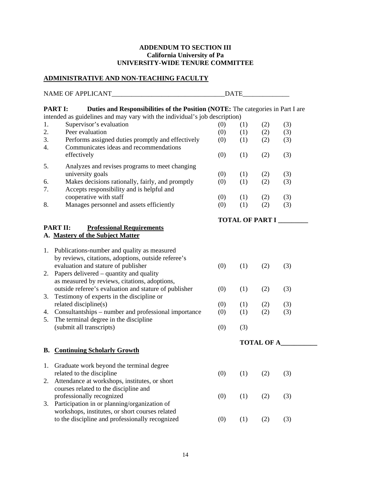#### **ADDENDUM TO SECTION III California University of Pa UNIVERSITY-WIDE TENURE COMMITTEE**

## **ADMINISTRATIVE AND NON-TEACHING FACULTY**

|    | NAME OF APPLICANT                                                                                                                                                               |     | DATE |                        |     |  |
|----|---------------------------------------------------------------------------------------------------------------------------------------------------------------------------------|-----|------|------------------------|-----|--|
|    | <b>PART I:</b><br>Duties and Responsibilities of the Position (NOTE: The categories in Part I are<br>intended as guidelines and may vary with the individual's job description) |     |      |                        |     |  |
| 1. | Supervisor's evaluation                                                                                                                                                         | (0) | (1)  | (2)                    | (3) |  |
| 2. | Peer evaluation                                                                                                                                                                 | (0) | (1)  | (2)                    | (3) |  |
| 3. | Performs assigned duties promptly and effectively                                                                                                                               | (0) | (1)  | (2)                    | (3) |  |
| 4. | Communicates ideas and recommendations                                                                                                                                          |     |      |                        |     |  |
|    | effectively                                                                                                                                                                     | (0) | (1)  | (2)                    | (3) |  |
| 5. | Analyzes and revises programs to meet changing                                                                                                                                  |     |      |                        |     |  |
|    | university goals                                                                                                                                                                | (0) | (1)  | (2)                    | (3) |  |
| 6. | Makes decisions rationally, fairly, and promptly                                                                                                                                | (0) | (1)  | (2)                    | (3) |  |
| 7. | Accepts responsibility and is helpful and                                                                                                                                       |     |      |                        |     |  |
|    | cooperative with staff                                                                                                                                                          | (0) | (1)  | (2)                    | (3) |  |
| 8. | Manages personnel and assets efficiently                                                                                                                                        | (0) | (1)  | (2)                    | (3) |  |
|    |                                                                                                                                                                                 |     |      | <b>TOTAL OF PART I</b> |     |  |
|    | <b>PART II:</b><br><b>Professional Requirements</b>                                                                                                                             |     |      |                        |     |  |
|    | A. Mastery of the Subject Matter                                                                                                                                                |     |      |                        |     |  |
|    |                                                                                                                                                                                 |     |      |                        |     |  |
|    | 1. Publications-number and quality as measured                                                                                                                                  |     |      |                        |     |  |
|    | by reviews, citations, adoptions, outside referee's                                                                                                                             |     |      |                        |     |  |
|    | evaluation and stature of publisher                                                                                                                                             | (0) | (1)  | (2)                    | (3) |  |
| 2. | Papers delivered – quantity and quality                                                                                                                                         |     |      |                        |     |  |
|    | as measured by reviews, citations, adoptions,                                                                                                                                   |     |      |                        |     |  |
|    | outside referee's evaluation and stature of publisher                                                                                                                           | (0) | (1)  | (2)                    | (3) |  |
| 3. | Testimony of experts in the discipline or                                                                                                                                       |     |      |                        |     |  |
|    | related discipline(s)                                                                                                                                                           | (0) | (1)  | (2)                    | (3) |  |
| 4. | Consultantships – number and professional importance                                                                                                                            | (0) | (1)  | (2)                    | (3) |  |
| 5. | The terminal degree in the discipline                                                                                                                                           |     |      |                        |     |  |
|    | (submit all transcripts)                                                                                                                                                        | (0) | (3)  |                        |     |  |
|    |                                                                                                                                                                                 |     |      | <b>TOTAL OF A</b>      |     |  |
| В. | <b>Continuing Scholarly Growth</b>                                                                                                                                              |     |      |                        |     |  |
|    |                                                                                                                                                                                 |     |      |                        |     |  |
| 1. | Graduate work beyond the terminal degree                                                                                                                                        |     |      |                        |     |  |
|    | related to the discipline                                                                                                                                                       | (0) | (1)  | (2)                    | (3) |  |
| 2. | Attendance at workshops, institutes, or short                                                                                                                                   |     |      |                        |     |  |
|    | courses related to the discipline and                                                                                                                                           |     |      |                        |     |  |
|    | professionally recognized                                                                                                                                                       | (0) | (1)  | (2)                    | (3) |  |
| 3. | Participation in or planning/organization of                                                                                                                                    |     |      |                        |     |  |
|    | workshops, institutes, or short courses related                                                                                                                                 |     |      |                        |     |  |
|    | to the discipline and professionally recognized                                                                                                                                 | (0) | (1)  | (2)                    | (3) |  |
|    |                                                                                                                                                                                 |     |      |                        |     |  |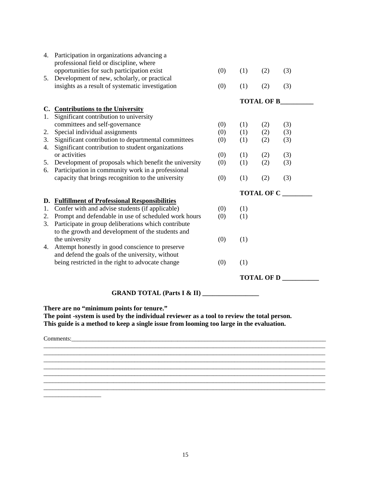|    | 4. Participation in organizations advancing a<br>professional field or discipline, where |     |                   |                   |     |  |  |
|----|------------------------------------------------------------------------------------------|-----|-------------------|-------------------|-----|--|--|
|    | opportunities for such participation exist                                               | (0) | (1)               | (2)               | (3) |  |  |
|    | 5. Development of new, scholarly, or practical                                           |     |                   |                   |     |  |  |
|    | insights as a result of systematic investigation                                         | (0) | (1)               | (2)               | (3) |  |  |
|    |                                                                                          |     |                   | <b>TOTAL OF B</b> |     |  |  |
|    | C. Contributions to the University                                                       |     |                   |                   |     |  |  |
| 1. | Significant contribution to university                                                   |     |                   |                   |     |  |  |
|    | committees and self-governance                                                           | (0) | (1)               | (2)               | (3) |  |  |
| 2. | Special individual assignments                                                           | (0) | (1)               | (2)               | (3) |  |  |
| 3. | Significant contribution to departmental committees                                      | (0) | (1)               | (2)               | (3) |  |  |
| 4. | Significant contribution to student organizations                                        |     |                   |                   |     |  |  |
|    | or activities                                                                            | (0) | (1)               | (2)               | (3) |  |  |
| 5. | Development of proposals which benefit the university                                    | (0) | (1)               | (2)               | (3) |  |  |
| 6. | Participation in community work in a professional                                        |     |                   |                   |     |  |  |
|    | capacity that brings recognition to the university                                       | (0) | (1)               | (2)               | (3) |  |  |
|    |                                                                                          |     | <b>TOTAL OF C</b> |                   |     |  |  |
| D. | <b>Fulfillment of Professional Responsibilities</b>                                      |     |                   |                   |     |  |  |
| 1. | Confer with and advise students (if applicable)                                          | (0) | (1)               |                   |     |  |  |
| 2. | Prompt and defendable in use of scheduled work hours                                     | (0) | (1)               |                   |     |  |  |
| 3. | Participate in group deliberations which contribute                                      |     |                   |                   |     |  |  |
|    | to the growth and development of the students and                                        |     |                   |                   |     |  |  |
|    | the university                                                                           | (0) | (1)               |                   |     |  |  |
| 4. | Attempt honestly in good conscience to preserve                                          |     |                   |                   |     |  |  |
|    | and defend the goals of the university, without                                          |     |                   |                   |     |  |  |
|    | being restricted in the right to advocate change                                         | (0) | (1)               |                   |     |  |  |
|    |                                                                                          |     | <b>TOTAL OF D</b> |                   |     |  |  |
|    | <b>GRAND TOTAL (Parts I &amp; II)</b>                                                    |     |                   |                   |     |  |  |
|    |                                                                                          |     |                   |                   |     |  |  |

**There are no "minimum points for tenure."** 

**The point -system is used by the individual reviewer as a tool to review the total person. This guide is a method to keep a single issue from looming too large in the evaluation.** 

 $\mathcal{L}_\mathcal{L} = \{ \mathcal{L}_\mathcal{L} = \{ \mathcal{L}_\mathcal{L} = \{ \mathcal{L}_\mathcal{L} = \{ \mathcal{L}_\mathcal{L} = \{ \mathcal{L}_\mathcal{L} = \{ \mathcal{L}_\mathcal{L} = \{ \mathcal{L}_\mathcal{L} = \{ \mathcal{L}_\mathcal{L} = \{ \mathcal{L}_\mathcal{L} = \{ \mathcal{L}_\mathcal{L} = \{ \mathcal{L}_\mathcal{L} = \{ \mathcal{L}_\mathcal{L} = \{ \mathcal{L}_\mathcal{L} = \{ \mathcal{L}_\mathcal{$ 

\_\_\_\_\_\_\_\_\_\_\_\_\_\_\_\_\_\_\_\_\_\_\_\_\_\_\_\_\_\_\_\_\_\_\_\_\_\_\_\_\_\_\_\_\_\_\_\_\_\_\_\_\_\_\_\_\_\_\_\_\_\_\_\_\_\_\_\_\_\_\_\_\_\_\_\_\_\_\_\_\_\_\_\_\_\_\_\_\_\_\_\_\_

 $\overline{\phantom{a}}$  , and the set of the set of the set of the set of the set of the set of the set of the set of the set of the set of the set of the set of the set of the set of the set of the set of the set of the set of the s  $\overline{1}$  ,  $\overline{1}$  ,  $\overline{1}$  ,  $\overline{1}$  ,  $\overline{1}$  ,  $\overline{1}$  ,  $\overline{1}$  ,  $\overline{1}$  ,  $\overline{1}$  ,  $\overline{1}$  ,  $\overline{1}$  ,  $\overline{1}$  ,  $\overline{1}$  ,  $\overline{1}$  ,  $\overline{1}$  ,  $\overline{1}$  ,  $\overline{1}$  ,  $\overline{1}$  ,  $\overline{1}$  ,  $\overline{1}$  ,

 $\_$  ,  $\_$  ,  $\_$  ,  $\_$  ,  $\_$  ,  $\_$  ,  $\_$  ,  $\_$  ,  $\_$  ,  $\_$  ,  $\_$  ,  $\_$  ,  $\_$  ,  $\_$  ,  $\_$  ,  $\_$  ,  $\_$  ,  $\_$  ,  $\_$  ,  $\_$  ,  $\_$  ,  $\_$  ,  $\_$  ,  $\_$  ,  $\_$  ,  $\_$  ,  $\_$  ,  $\_$  ,  $\_$  ,  $\_$  ,  $\_$  ,  $\_$  ,  $\_$  ,  $\_$  ,  $\_$  ,  $\_$  ,  $\_$  ,  $\_$  ,  $\_$  ,  $\_$  ,  $\_$  ,  $\_$  ,  $\_$  ,  $\_$  ,  $\_$  ,  $\_$  ,  $\_$  ,  $\_$  ,  $\_$  ,  $\_$  ,  $\_$  ,  $\_$  ,  $\_$  ,  $\_$  ,  $\_$  ,  $\_$  ,  $\_$  ,  $\_$  ,  $\_$  ,  $\_$  ,  $\_$  ,  $\_$  ,  $\_$  ,  $\_$  ,  $\_$  ,  $\_$  ,  $\_$  ,  $\_$  ,  $\_$  ,  $\_$  ,  $\_$  ,  $\_$  ,  $\_$  ,  $\_$  ,

Comments:\_\_\_\_\_\_\_\_\_\_\_\_\_\_\_\_\_\_\_\_\_\_\_\_\_\_\_\_\_\_\_\_\_\_\_\_\_\_\_\_\_\_\_\_\_\_\_\_\_\_\_\_\_\_\_\_\_\_\_\_\_\_\_\_\_\_\_\_\_\_\_\_\_\_\_\_\_\_\_\_\_\_\_\_

\_\_\_\_\_\_\_\_\_\_\_\_\_\_\_\_\_\_\_